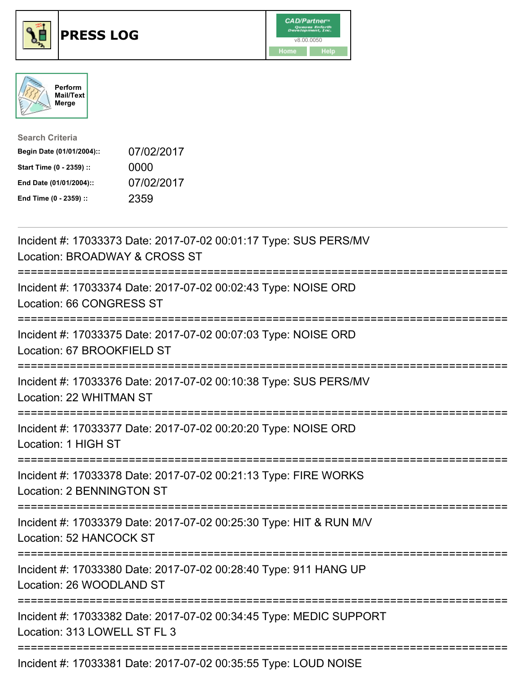





| <b>Search Criteria</b>    |            |
|---------------------------|------------|
| Begin Date (01/01/2004):: | 07/02/2017 |
| Start Time (0 - 2359) ::  | 0000       |
| End Date (01/01/2004)::   | 07/02/2017 |
| End Time (0 - 2359) ::    | 2359       |

| Incident #: 17033373 Date: 2017-07-02 00:01:17 Type: SUS PERS/MV<br>Location: BROADWAY & CROSS ST                           |
|-----------------------------------------------------------------------------------------------------------------------------|
| Incident #: 17033374 Date: 2017-07-02 00:02:43 Type: NOISE ORD<br>Location: 66 CONGRESS ST<br>----------                    |
| Incident #: 17033375 Date: 2017-07-02 00:07:03 Type: NOISE ORD<br>Location: 67 BROOKFIELD ST<br>-----------                 |
| Incident #: 17033376 Date: 2017-07-02 00:10:38 Type: SUS PERS/MV<br>Location: 22 WHITMAN ST<br>===================          |
| Incident #: 17033377 Date: 2017-07-02 00:20:20 Type: NOISE ORD<br>Location: 1 HIGH ST<br>================================== |
| Incident #: 17033378 Date: 2017-07-02 00:21:13 Type: FIRE WORKS<br>Location: 2 BENNINGTON ST                                |
| Incident #: 17033379 Date: 2017-07-02 00:25:30 Type: HIT & RUN M/V<br><b>Location: 52 HANCOCK ST</b>                        |
| Incident #: 17033380 Date: 2017-07-02 00:28:40 Type: 911 HANG UP<br>Location: 26 WOODLAND ST                                |
| Incident #: 17033382 Date: 2017-07-02 00:34:45 Type: MEDIC SUPPORT<br>Location: 313 LOWELL ST FL 3                          |
| Incident #: 17033381 Date: 2017-07-02 00:35:55 Type: LOUD NOISE                                                             |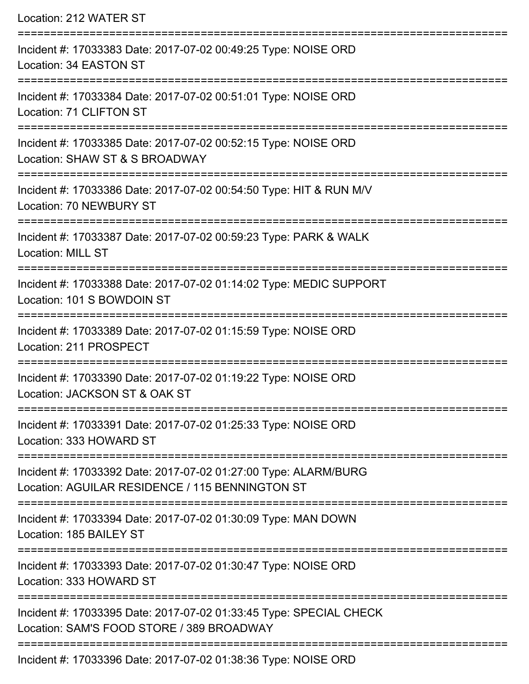| Location: 212 WATER ST                                                                                                                |
|---------------------------------------------------------------------------------------------------------------------------------------|
| Incident #: 17033383 Date: 2017-07-02 00:49:25 Type: NOISE ORD<br>Location: 34 EASTON ST                                              |
| Incident #: 17033384 Date: 2017-07-02 00:51:01 Type: NOISE ORD<br>Location: 71 CLIFTON ST                                             |
| Incident #: 17033385 Date: 2017-07-02 00:52:15 Type: NOISE ORD<br>Location: SHAW ST & S BROADWAY                                      |
| Incident #: 17033386 Date: 2017-07-02 00:54:50 Type: HIT & RUN M/V<br><b>Location: 70 NEWBURY ST</b>                                  |
| Incident #: 17033387 Date: 2017-07-02 00:59:23 Type: PARK & WALK<br><b>Location: MILL ST</b>                                          |
| Incident #: 17033388 Date: 2017-07-02 01:14:02 Type: MEDIC SUPPORT<br>Location: 101 S BOWDOIN ST                                      |
| Incident #: 17033389 Date: 2017-07-02 01:15:59 Type: NOISE ORD<br>Location: 211 PROSPECT                                              |
| Incident #: 17033390 Date: 2017-07-02 01:19:22 Type: NOISE ORD<br>Location: JACKSON ST & OAK ST                                       |
| Incident #: 17033391 Date: 2017-07-02 01:25:33 Type: NOISE ORD<br>Location: 333 HOWARD ST                                             |
| Incident #: 17033392 Date: 2017-07-02 01:27:00 Type: ALARM/BURG<br>Location: AGUILAR RESIDENCE / 115 BENNINGTON ST                    |
| Incident #: 17033394 Date: 2017-07-02 01:30:09 Type: MAN DOWN<br>Location: 185 BAILEY ST                                              |
| Incident #: 17033393 Date: 2017-07-02 01:30:47 Type: NOISE ORD<br>Location: 333 HOWARD ST                                             |
| ==================<br>Incident #: 17033395 Date: 2017-07-02 01:33:45 Type: SPECIAL CHECK<br>Location: SAM'S FOOD STORE / 389 BROADWAY |
| Incident #: 17033396 Date: 2017-07-02 01:38:36 Type: NOISE ORD                                                                        |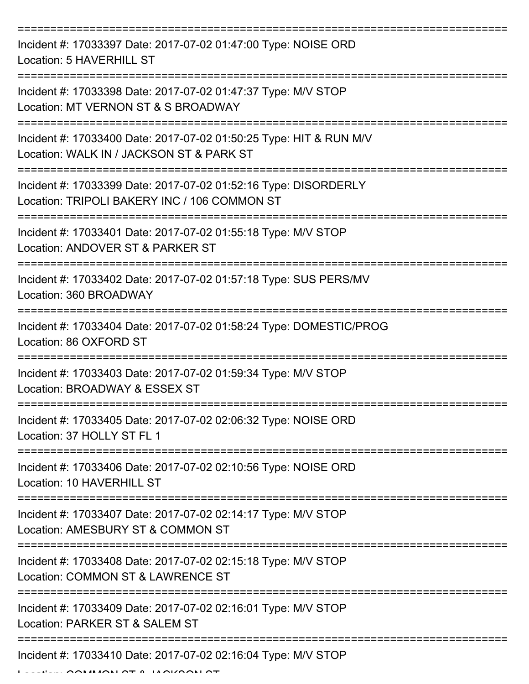| Incident #: 17033397 Date: 2017-07-02 01:47:00 Type: NOISE ORD<br>Location: 5 HAVERHILL ST                      |
|-----------------------------------------------------------------------------------------------------------------|
| Incident #: 17033398 Date: 2017-07-02 01:47:37 Type: M/V STOP<br>Location: MT VERNON ST & S BROADWAY            |
| Incident #: 17033400 Date: 2017-07-02 01:50:25 Type: HIT & RUN M/V<br>Location: WALK IN / JACKSON ST & PARK ST  |
| Incident #: 17033399 Date: 2017-07-02 01:52:16 Type: DISORDERLY<br>Location: TRIPOLI BAKERY INC / 106 COMMON ST |
| Incident #: 17033401 Date: 2017-07-02 01:55:18 Type: M/V STOP<br>Location: ANDOVER ST & PARKER ST               |
| =============<br>Incident #: 17033402 Date: 2017-07-02 01:57:18 Type: SUS PERS/MV<br>Location: 360 BROADWAY     |
| Incident #: 17033404 Date: 2017-07-02 01:58:24 Type: DOMESTIC/PROG<br>Location: 86 OXFORD ST                    |
| Incident #: 17033403 Date: 2017-07-02 01:59:34 Type: M/V STOP<br>Location: BROADWAY & ESSEX ST                  |
| Incident #: 17033405 Date: 2017-07-02 02:06:32 Type: NOISE ORD<br>Location: 37 HOLLY ST FL 1                    |
| Incident #: 17033406 Date: 2017-07-02 02:10:56 Type: NOISE ORD<br>Location: 10 HAVERHILL ST                     |
| Incident #: 17033407 Date: 2017-07-02 02:14:17 Type: M/V STOP<br>Location: AMESBURY ST & COMMON ST              |
| Incident #: 17033408 Date: 2017-07-02 02:15:18 Type: M/V STOP<br>Location: COMMON ST & LAWRENCE ST              |
| Incident #: 17033409 Date: 2017-07-02 02:16:01 Type: M/V STOP<br>Location: PARKER ST & SALEM ST                 |
| Incident #: 17033410 Date: 2017-07-02 02:16:04 Type: M/V STOP                                                   |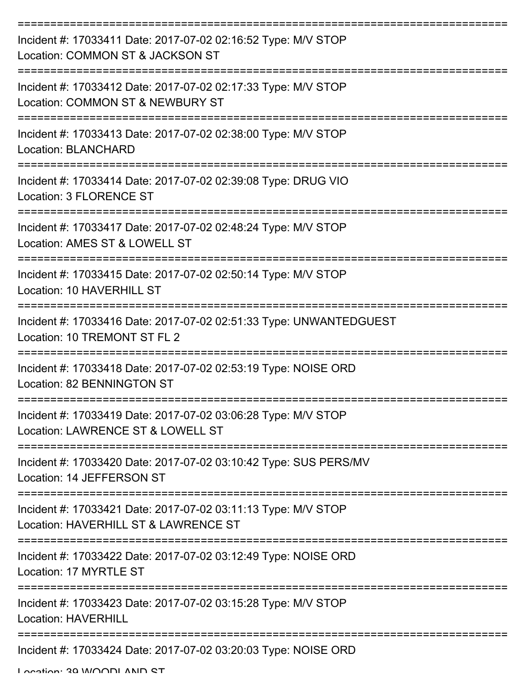| Incident #: 17033411 Date: 2017-07-02 02:16:52 Type: M/V STOP<br>Location: COMMON ST & JACKSON ST     |
|-------------------------------------------------------------------------------------------------------|
| Incident #: 17033412 Date: 2017-07-02 02:17:33 Type: M/V STOP<br>Location: COMMON ST & NEWBURY ST     |
| Incident #: 17033413 Date: 2017-07-02 02:38:00 Type: M/V STOP<br><b>Location: BLANCHARD</b>           |
| Incident #: 17033414 Date: 2017-07-02 02:39:08 Type: DRUG VIO<br>Location: 3 FLORENCE ST              |
| Incident #: 17033417 Date: 2017-07-02 02:48:24 Type: M/V STOP<br>Location: AMES ST & LOWELL ST        |
| Incident #: 17033415 Date: 2017-07-02 02:50:14 Type: M/V STOP<br>Location: 10 HAVERHILL ST            |
| Incident #: 17033416 Date: 2017-07-02 02:51:33 Type: UNWANTEDGUEST<br>Location: 10 TREMONT ST FL 2    |
| Incident #: 17033418 Date: 2017-07-02 02:53:19 Type: NOISE ORD<br>Location: 82 BENNINGTON ST          |
| Incident #: 17033419 Date: 2017-07-02 03:06:28 Type: M/V STOP<br>Location: LAWRENCE ST & LOWELL ST    |
| Incident #: 17033420 Date: 2017-07-02 03:10:42 Type: SUS PERS/MV<br>Location: 14 JEFFERSON ST         |
| Incident #: 17033421 Date: 2017-07-02 03:11:13 Type: M/V STOP<br>Location: HAVERHILL ST & LAWRENCE ST |
| Incident #: 17033422 Date: 2017-07-02 03:12:49 Type: NOISE ORD<br>Location: 17 MYRTLE ST              |
| Incident #: 17033423 Date: 2017-07-02 03:15:28 Type: M/V STOP<br><b>Location: HAVERHILL</b>           |
| Incident #: 17033424 Date: 2017-07-02 03:20:03 Type: NOISE ORD                                        |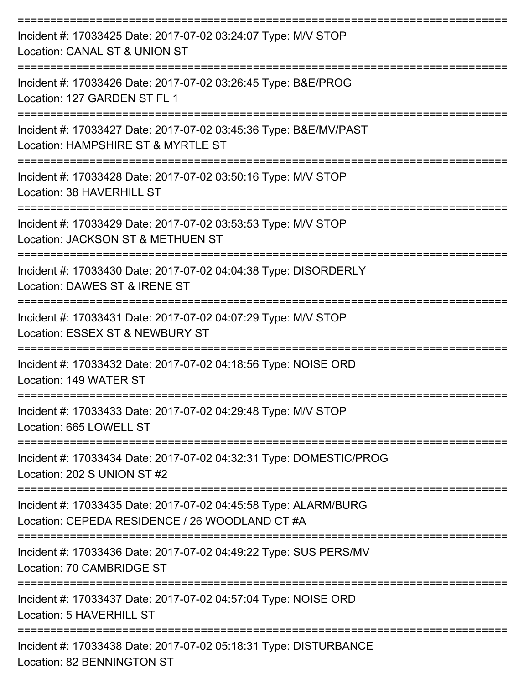| Incident #: 17033425 Date: 2017-07-02 03:24:07 Type: M/V STOP<br>Location: CANAL ST & UNION ST<br>--------------------------- |
|-------------------------------------------------------------------------------------------------------------------------------|
| Incident #: 17033426 Date: 2017-07-02 03:26:45 Type: B&E/PROG<br>Location: 127 GARDEN ST FL 1                                 |
| Incident #: 17033427 Date: 2017-07-02 03:45:36 Type: B&E/MV/PAST<br>Location: HAMPSHIRE ST & MYRTLE ST                        |
| Incident #: 17033428 Date: 2017-07-02 03:50:16 Type: M/V STOP<br>Location: 38 HAVERHILL ST                                    |
| Incident #: 17033429 Date: 2017-07-02 03:53:53 Type: M/V STOP<br>Location: JACKSON ST & METHUEN ST                            |
| Incident #: 17033430 Date: 2017-07-02 04:04:38 Type: DISORDERLY<br>Location: DAWES ST & IRENE ST                              |
| Incident #: 17033431 Date: 2017-07-02 04:07:29 Type: M/V STOP<br>Location: ESSEX ST & NEWBURY ST                              |
| Incident #: 17033432 Date: 2017-07-02 04:18:56 Type: NOISE ORD<br>Location: 149 WATER ST                                      |
| Incident #: 17033433 Date: 2017-07-02 04:29:48 Type: M/V STOP<br>Location: 665 LOWELL ST                                      |
| Incident #: 17033434 Date: 2017-07-02 04:32:31 Type: DOMESTIC/PROG<br>Location: 202 S UNION ST #2                             |
| Incident #: 17033435 Date: 2017-07-02 04:45:58 Type: ALARM/BURG<br>Location: CEPEDA RESIDENCE / 26 WOODLAND CT #A             |
| Incident #: 17033436 Date: 2017-07-02 04:49:22 Type: SUS PERS/MV<br>Location: 70 CAMBRIDGE ST                                 |
| Incident #: 17033437 Date: 2017-07-02 04:57:04 Type: NOISE ORD<br>Location: 5 HAVERHILL ST                                    |
| Incident #: 17033438 Date: 2017-07-02 05:18:31 Type: DISTURBANCE<br><b>Location: 82 BENNINGTON ST</b>                         |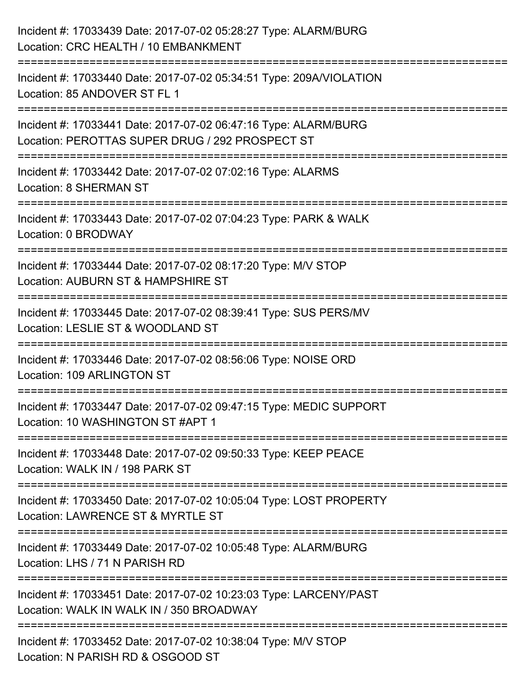| Incident #: 17033439 Date: 2017-07-02 05:28:27 Type: ALARM/BURG<br>Location: CRC HEALTH / 10 EMBANKMENT                                                                                     |
|---------------------------------------------------------------------------------------------------------------------------------------------------------------------------------------------|
| Incident #: 17033440 Date: 2017-07-02 05:34:51 Type: 209A/VIOLATION<br>Location: 85 ANDOVER ST FL 1                                                                                         |
| Incident #: 17033441 Date: 2017-07-02 06:47:16 Type: ALARM/BURG<br>Location: PEROTTAS SUPER DRUG / 292 PROSPECT ST<br>;===================================<br>----------------------------- |
| Incident #: 17033442 Date: 2017-07-02 07:02:16 Type: ALARMS<br><b>Location: 8 SHERMAN ST</b>                                                                                                |
| Incident #: 17033443 Date: 2017-07-02 07:04:23 Type: PARK & WALK<br>Location: 0 BRODWAY                                                                                                     |
| Incident #: 17033444 Date: 2017-07-02 08:17:20 Type: M/V STOP<br>Location: AUBURN ST & HAMPSHIRE ST                                                                                         |
| Incident #: 17033445 Date: 2017-07-02 08:39:41 Type: SUS PERS/MV<br>Location: LESLIE ST & WOODLAND ST                                                                                       |
| Incident #: 17033446 Date: 2017-07-02 08:56:06 Type: NOISE ORD<br>Location: 109 ARLINGTON ST                                                                                                |
| Incident #: 17033447 Date: 2017-07-02 09:47:15 Type: MEDIC SUPPORT<br>Location: 10 WASHINGTON ST #APT 1                                                                                     |
| Incident #: 17033448 Date: 2017-07-02 09:50:33 Type: KEEP PEACE<br>Location: WALK IN / 198 PARK ST                                                                                          |
| Incident #: 17033450 Date: 2017-07-02 10:05:04 Type: LOST PROPERTY<br>Location: LAWRENCE ST & MYRTLE ST                                                                                     |
| Incident #: 17033449 Date: 2017-07-02 10:05:48 Type: ALARM/BURG<br>Location: LHS / 71 N PARISH RD                                                                                           |
| Incident #: 17033451 Date: 2017-07-02 10:23:03 Type: LARCENY/PAST<br>Location: WALK IN WALK IN / 350 BROADWAY                                                                               |
| Incident #: 17033452 Date: 2017-07-02 10:38:04 Type: M/V STOP<br>Location: N PARISH RD & OSGOOD ST                                                                                          |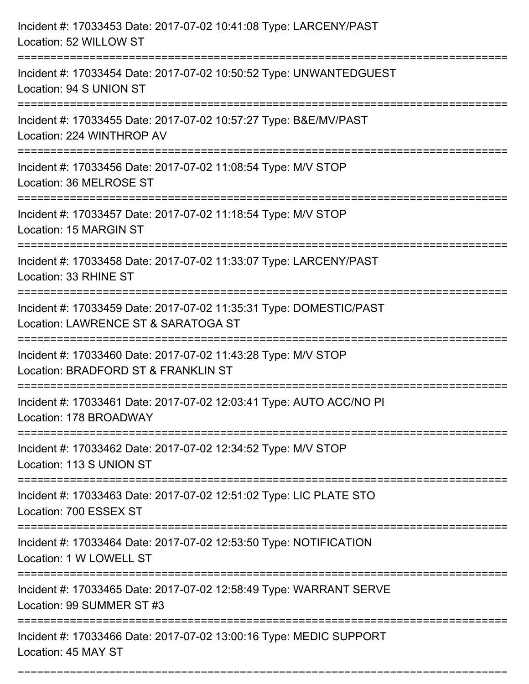| Incident #: 17033453 Date: 2017-07-02 10:41:08 Type: LARCENY/PAST<br>Location: 52 WILLOW ST               |
|-----------------------------------------------------------------------------------------------------------|
| Incident #: 17033454 Date: 2017-07-02 10:50:52 Type: UNWANTEDGUEST<br>Location: 94 S UNION ST             |
| Incident #: 17033455 Date: 2017-07-02 10:57:27 Type: B&E/MV/PAST<br>Location: 224 WINTHROP AV             |
| Incident #: 17033456 Date: 2017-07-02 11:08:54 Type: M/V STOP<br>Location: 36 MELROSE ST                  |
| Incident #: 17033457 Date: 2017-07-02 11:18:54 Type: M/V STOP<br>Location: 15 MARGIN ST                   |
| Incident #: 17033458 Date: 2017-07-02 11:33:07 Type: LARCENY/PAST<br>Location: 33 RHINE ST                |
| Incident #: 17033459 Date: 2017-07-02 11:35:31 Type: DOMESTIC/PAST<br>Location: LAWRENCE ST & SARATOGA ST |
| Incident #: 17033460 Date: 2017-07-02 11:43:28 Type: M/V STOP<br>Location: BRADFORD ST & FRANKLIN ST      |
| Incident #: 17033461 Date: 2017-07-02 12:03:41 Type: AUTO ACC/NO PI<br>Location: 178 BROADWAY             |
| Incident #: 17033462 Date: 2017-07-02 12:34:52 Type: M/V STOP<br>Location: 113 S UNION ST                 |
| Incident #: 17033463 Date: 2017-07-02 12:51:02 Type: LIC PLATE STO<br>Location: 700 ESSEX ST              |
| Incident #: 17033464 Date: 2017-07-02 12:53:50 Type: NOTIFICATION<br>Location: 1 W LOWELL ST              |
| Incident #: 17033465 Date: 2017-07-02 12:58:49 Type: WARRANT SERVE<br>Location: 99 SUMMER ST #3           |
| Incident #: 17033466 Date: 2017-07-02 13:00:16 Type: MEDIC SUPPORT<br>Location: 45 MAY ST                 |

===========================================================================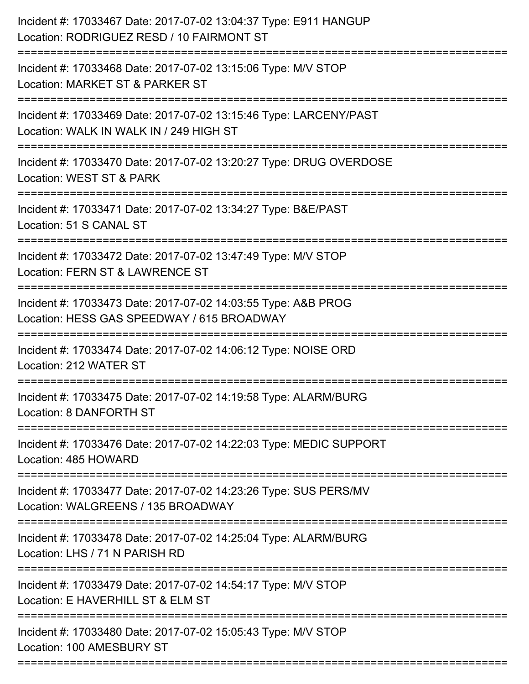| Incident #: 17033467 Date: 2017-07-02 13:04:37 Type: E911 HANGUP<br>Location: RODRIGUEZ RESD / 10 FAIRMONT ST                              |
|--------------------------------------------------------------------------------------------------------------------------------------------|
| Incident #: 17033468 Date: 2017-07-02 13:15:06 Type: M/V STOP<br>Location: MARKET ST & PARKER ST                                           |
| Incident #: 17033469 Date: 2017-07-02 13:15:46 Type: LARCENY/PAST<br>Location: WALK IN WALK IN / 249 HIGH ST<br>========================== |
| Incident #: 17033470 Date: 2017-07-02 13:20:27 Type: DRUG OVERDOSE<br>Location: WEST ST & PARK                                             |
| Incident #: 17033471 Date: 2017-07-02 13:34:27 Type: B&E/PAST<br>Location: 51 S CANAL ST                                                   |
| Incident #: 17033472 Date: 2017-07-02 13:47:49 Type: M/V STOP<br>Location: FERN ST & LAWRENCE ST                                           |
| Incident #: 17033473 Date: 2017-07-02 14:03:55 Type: A&B PROG<br>Location: HESS GAS SPEEDWAY / 615 BROADWAY<br>==============              |
| Incident #: 17033474 Date: 2017-07-02 14:06:12 Type: NOISE ORD<br>Location: 212 WATER ST                                                   |
| Incident #: 17033475 Date: 2017-07-02 14:19:58 Type: ALARM/BURG<br>Location: 8 DANFORTH ST                                                 |
| Incident #: 17033476 Date: 2017-07-02 14:22:03 Type: MEDIC SUPPORT<br>Location: 485 HOWARD                                                 |
| Incident #: 17033477 Date: 2017-07-02 14:23:26 Type: SUS PERS/MV<br>Location: WALGREENS / 135 BROADWAY                                     |
| ;==============================<br>Incident #: 17033478 Date: 2017-07-02 14:25:04 Type: ALARM/BURG<br>Location: LHS / 71 N PARISH RD       |
| Incident #: 17033479 Date: 2017-07-02 14:54:17 Type: M/V STOP<br>Location: E HAVERHILL ST & ELM ST                                         |
| Incident #: 17033480 Date: 2017-07-02 15:05:43 Type: M/V STOP<br>Location: 100 AMESBURY ST                                                 |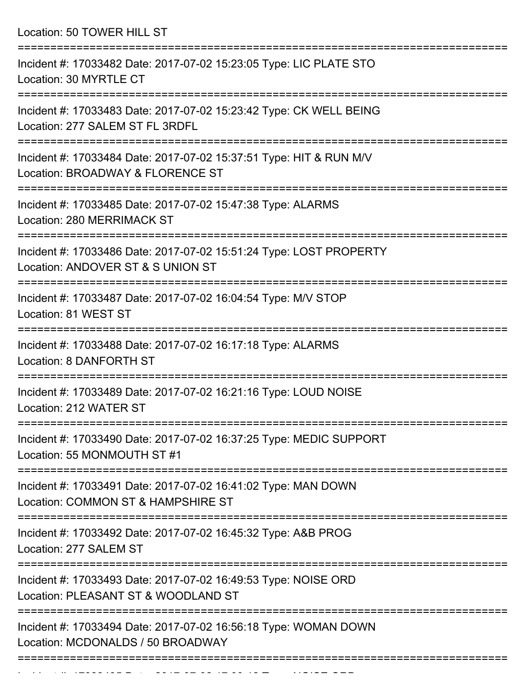Location: 50 TOWER HILL ST

| Incident #: 17033482 Date: 2017-07-02 15:23:05 Type: LIC PLATE STO<br>Location: 30 MYRTLE CT            |
|---------------------------------------------------------------------------------------------------------|
| Incident #: 17033483 Date: 2017-07-02 15:23:42 Type: CK WELL BEING<br>Location: 277 SALEM ST FL 3RDFL   |
| Incident #: 17033484 Date: 2017-07-02 15:37:51 Type: HIT & RUN M/V<br>Location: BROADWAY & FLORENCE ST  |
| Incident #: 17033485 Date: 2017-07-02 15:47:38 Type: ALARMS<br>Location: 280 MERRIMACK ST               |
| Incident #: 17033486 Date: 2017-07-02 15:51:24 Type: LOST PROPERTY<br>Location: ANDOVER ST & S UNION ST |
| Incident #: 17033487 Date: 2017-07-02 16:04:54 Type: M/V STOP<br>Location: 81 WEST ST                   |
| Incident #: 17033488 Date: 2017-07-02 16:17:18 Type: ALARMS<br>Location: 8 DANFORTH ST                  |
| Incident #: 17033489 Date: 2017-07-02 16:21:16 Type: LOUD NOISE<br>Location: 212 WATER ST               |
| Incident #: 17033490 Date: 2017-07-02 16:37:25 Type: MEDIC SUPPORT<br>Location: 55 MONMOUTH ST #1       |
| Incident #: 17033491 Date: 2017-07-02 16:41:02 Type: MAN DOWN<br>Location: COMMON ST & HAMPSHIRE ST     |
| Incident #: 17033492 Date: 2017-07-02 16:45:32 Type: A&B PROG<br>Location: 277 SALEM ST                 |
| Incident #: 17033493 Date: 2017-07-02 16:49:53 Type: NOISE ORD<br>Location: PLEASANT ST & WOODLAND ST   |
| Incident #: 17033494 Date: 2017-07-02 16:56:18 Type: WOMAN DOWN<br>Location: MCDONALDS / 50 BROADWAY    |
|                                                                                                         |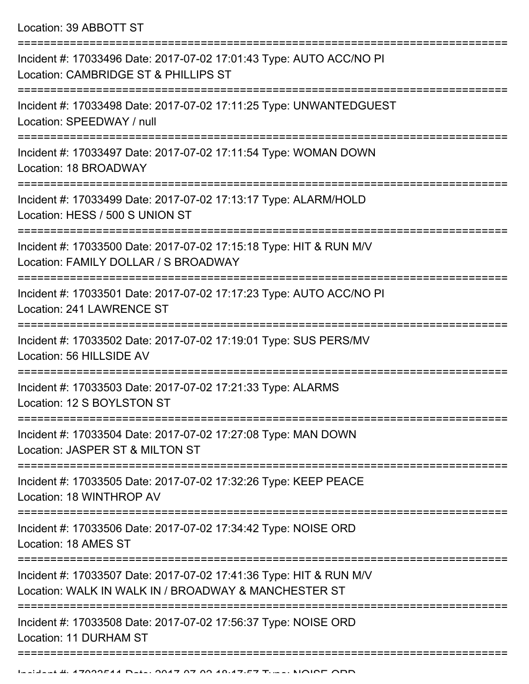Location: 39 ABBOTT ST

| Incident #: 17033496 Date: 2017-07-02 17:01:43 Type: AUTO ACC/NO PI<br>Location: CAMBRIDGE ST & PHILLIPS ST                |
|----------------------------------------------------------------------------------------------------------------------------|
| Incident #: 17033498 Date: 2017-07-02 17:11:25 Type: UNWANTEDGUEST<br>Location: SPEEDWAY / null                            |
| Incident #: 17033497 Date: 2017-07-02 17:11:54 Type: WOMAN DOWN<br>Location: 18 BROADWAY                                   |
| Incident #: 17033499 Date: 2017-07-02 17:13:17 Type: ALARM/HOLD<br>Location: HESS / 500 S UNION ST                         |
| Incident #: 17033500 Date: 2017-07-02 17:15:18 Type: HIT & RUN M/V<br>Location: FAMILY DOLLAR / S BROADWAY                 |
| Incident #: 17033501 Date: 2017-07-02 17:17:23 Type: AUTO ACC/NO PI<br>Location: 241 LAWRENCE ST                           |
| Incident #: 17033502 Date: 2017-07-02 17:19:01 Type: SUS PERS/MV<br>Location: 56 HILLSIDE AV                               |
| Incident #: 17033503 Date: 2017-07-02 17:21:33 Type: ALARMS<br>Location: 12 S BOYLSTON ST                                  |
| Incident #: 17033504 Date: 2017-07-02 17:27:08 Type: MAN DOWN<br>Location: JASPER ST & MILTON ST                           |
| Incident #: 17033505 Date: 2017-07-02 17:32:26 Type: KEEP PEACE<br>Location: 18 WINTHROP AV                                |
| Incident #: 17033506 Date: 2017-07-02 17:34:42 Type: NOISE ORD<br>Location: 18 AMES ST                                     |
| Incident #: 17033507 Date: 2017-07-02 17:41:36 Type: HIT & RUN M/V<br>Location: WALK IN WALK IN / BROADWAY & MANCHESTER ST |
| Incident #: 17033508 Date: 2017-07-02 17:56:37 Type: NOISE ORD<br>Location: 11 DURHAM ST                                   |
|                                                                                                                            |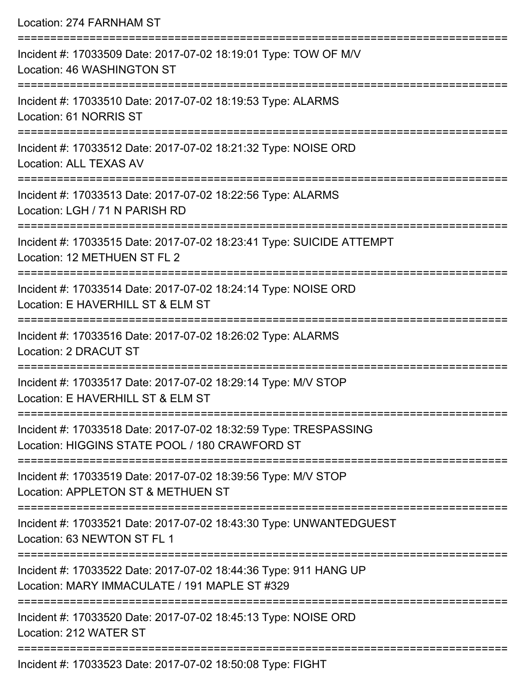Location: 274 FARNHAM ST =========================================================================== Incident #: 17033509 Date: 2017-07-02 18:19:01 Type: TOW OF M/V Location: 46 WASHINGTON ST =========================================================================== Incident #: 17033510 Date: 2017-07-02 18:19:53 Type: ALARMS Location: 61 NORRIS ST =========================================================================== Incident #: 17033512 Date: 2017-07-02 18:21:32 Type: NOISE ORD Location: ALL TEXAS AV =========================================================================== Incident #: 17033513 Date: 2017-07-02 18:22:56 Type: ALARMS Location: LGH / 71 N PARISH RD =========================================================================== Incident #: 17033515 Date: 2017-07-02 18:23:41 Type: SUICIDE ATTEMPT Location: 12 METHUEN ST FL 2 =========================================================================== Incident #: 17033514 Date: 2017-07-02 18:24:14 Type: NOISE ORD Location: E HAVERHILL ST & ELM ST =========================================================================== Incident #: 17033516 Date: 2017-07-02 18:26:02 Type: ALARMS Location: 2 DRACUT ST =========================================================================== Incident #: 17033517 Date: 2017-07-02 18:29:14 Type: M/V STOP Location: E HAVERHILL ST & ELM ST =========================================================================== Incident #: 17033518 Date: 2017-07-02 18:32:59 Type: TRESPASSING Location: HIGGINS STATE POOL / 180 CRAWFORD ST =========================================================================== Incident #: 17033519 Date: 2017-07-02 18:39:56 Type: M/V STOP Location: APPLETON ST & METHUEN ST =========================================================================== Incident #: 17033521 Date: 2017-07-02 18:43:30 Type: UNWANTEDGUEST Location: 63 NEWTON ST FL 1 =========================================================================== Incident #: 17033522 Date: 2017-07-02 18:44:36 Type: 911 HANG UP Location: MARY IMMACULATE / 191 MAPLE ST #329 =========================================================================== Incident #: 17033520 Date: 2017-07-02 18:45:13 Type: NOISE ORD Location: 212 WATER ST ===========================================================================

Incident #: 17033523 Date: 2017-07-02 18:50:08 Type: FIGHT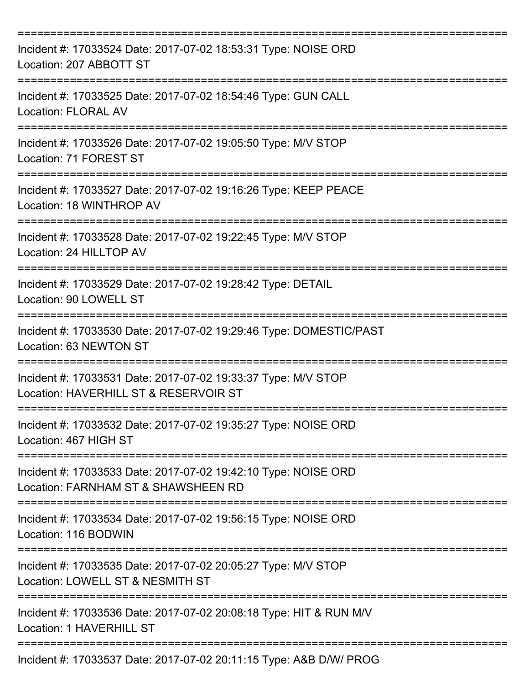| Incident #: 17033524 Date: 2017-07-02 18:53:31 Type: NOISE ORD<br>Location: 207 ABBOTT ST              |
|--------------------------------------------------------------------------------------------------------|
| Incident #: 17033525 Date: 2017-07-02 18:54:46 Type: GUN CALL<br><b>Location: FLORAL AV</b>            |
| Incident #: 17033526 Date: 2017-07-02 19:05:50 Type: M/V STOP<br>Location: 71 FOREST ST                |
| Incident #: 17033527 Date: 2017-07-02 19:16:26 Type: KEEP PEACE<br>Location: 18 WINTHROP AV            |
| Incident #: 17033528 Date: 2017-07-02 19:22:45 Type: M/V STOP<br>Location: 24 HILLTOP AV               |
| Incident #: 17033529 Date: 2017-07-02 19:28:42 Type: DETAIL<br>Location: 90 LOWELL ST                  |
| Incident #: 17033530 Date: 2017-07-02 19:29:46 Type: DOMESTIC/PAST<br>Location: 63 NEWTON ST           |
| Incident #: 17033531 Date: 2017-07-02 19:33:37 Type: M/V STOP<br>Location: HAVERHILL ST & RESERVOIR ST |
| Incident #: 17033532 Date: 2017-07-02 19:35:27 Type: NOISE ORD<br>Location: 467 HIGH ST                |
| Incident #: 17033533 Date: 2017-07-02 19:42:10 Type: NOISE ORD<br>Location: FARNHAM ST & SHAWSHEEN RD  |
| Incident #: 17033534 Date: 2017-07-02 19:56:15 Type: NOISE ORD<br>Location: 116 BODWIN                 |
| Incident #: 17033535 Date: 2017-07-02 20:05:27 Type: M/V STOP<br>Location: LOWELL ST & NESMITH ST      |
| Incident #: 17033536 Date: 2017-07-02 20:08:18 Type: HIT & RUN M/V<br>Location: 1 HAVERHILL ST         |
| Incident #: 17033537 Date: 2017-07-02 20:11:15 Type: A&B D/W/ PROG                                     |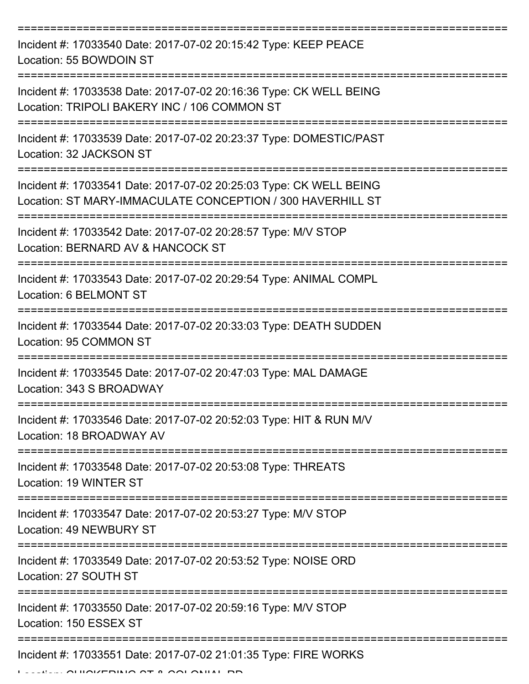| Incident #: 17033540 Date: 2017-07-02 20:15:42 Type: KEEP PEACE<br>Location: 55 BOWDOIN ST                                              |
|-----------------------------------------------------------------------------------------------------------------------------------------|
| Incident #: 17033538 Date: 2017-07-02 20:16:36 Type: CK WELL BEING<br>Location: TRIPOLI BAKERY INC / 106 COMMON ST                      |
| Incident #: 17033539 Date: 2017-07-02 20:23:37 Type: DOMESTIC/PAST<br>Location: 32 JACKSON ST                                           |
| Incident #: 17033541 Date: 2017-07-02 20:25:03 Type: CK WELL BEING<br>Location: ST MARY-IMMACULATE CONCEPTION / 300 HAVERHILL ST        |
| Incident #: 17033542 Date: 2017-07-02 20:28:57 Type: M/V STOP<br>Location: BERNARD AV & HANCOCK ST<br>================================= |
| Incident #: 17033543 Date: 2017-07-02 20:29:54 Type: ANIMAL COMPL<br>Location: 6 BELMONT ST                                             |
| Incident #: 17033544 Date: 2017-07-02 20:33:03 Type: DEATH SUDDEN<br>Location: 95 COMMON ST                                             |
| Incident #: 17033545 Date: 2017-07-02 20:47:03 Type: MAL DAMAGE<br>Location: 343 S BROADWAY                                             |
| Incident #: 17033546 Date: 2017-07-02 20:52:03 Type: HIT & RUN M/V<br>Location: 18 BROADWAY AV                                          |
| Incident #: 17033548 Date: 2017-07-02 20:53:08 Type: THREATS<br>Location: 19 WINTER ST                                                  |
| Incident #: 17033547 Date: 2017-07-02 20:53:27 Type: M/V STOP<br>Location: 49 NEWBURY ST                                                |
| Incident #: 17033549 Date: 2017-07-02 20:53:52 Type: NOISE ORD<br>Location: 27 SOUTH ST                                                 |
| Incident #: 17033550 Date: 2017-07-02 20:59:16 Type: M/V STOP<br>Location: 150 ESSEX ST                                                 |
| Incident #: 17033551 Date: 2017-07-02 21:01:35 Type: FIRE WORKS                                                                         |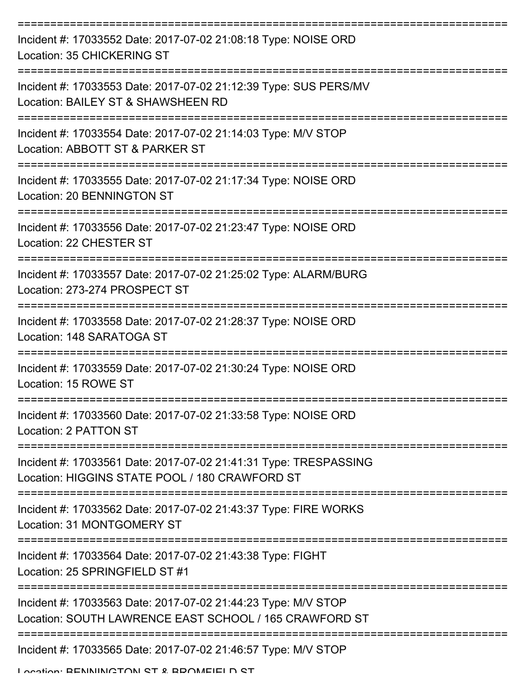| Incident #: 17033552 Date: 2017-07-02 21:08:18 Type: NOISE ORD<br>Location: 35 CHICKERING ST                            |
|-------------------------------------------------------------------------------------------------------------------------|
| Incident #: 17033553 Date: 2017-07-02 21:12:39 Type: SUS PERS/MV<br>Location: BAILEY ST & SHAWSHEEN RD                  |
| Incident #: 17033554 Date: 2017-07-02 21:14:03 Type: M/V STOP<br>Location: ABBOTT ST & PARKER ST                        |
| Incident #: 17033555 Date: 2017-07-02 21:17:34 Type: NOISE ORD<br>Location: 20 BENNINGTON ST                            |
| Incident #: 17033556 Date: 2017-07-02 21:23:47 Type: NOISE ORD<br>Location: 22 CHESTER ST                               |
| Incident #: 17033557 Date: 2017-07-02 21:25:02 Type: ALARM/BURG<br>Location: 273-274 PROSPECT ST                        |
| Incident #: 17033558 Date: 2017-07-02 21:28:37 Type: NOISE ORD<br>Location: 148 SARATOGA ST                             |
| Incident #: 17033559 Date: 2017-07-02 21:30:24 Type: NOISE ORD<br>Location: 15 ROWE ST                                  |
| Incident #: 17033560 Date: 2017-07-02 21:33:58 Type: NOISE ORD<br>Location: 2 PATTON ST                                 |
| Incident #: 17033561 Date: 2017-07-02 21:41:31 Type: TRESPASSING<br>Location: HIGGINS STATE POOL / 180 CRAWFORD ST      |
| Incident #: 17033562 Date: 2017-07-02 21:43:37 Type: FIRE WORKS<br>Location: 31 MONTGOMERY ST                           |
| Incident #: 17033564 Date: 2017-07-02 21:43:38 Type: FIGHT<br>Location: 25 SPRINGFIELD ST #1                            |
| Incident #: 17033563 Date: 2017-07-02 21:44:23 Type: M/V STOP<br>Location: SOUTH LAWRENCE EAST SCHOOL / 165 CRAWFORD ST |
| Incident #: 17033565 Date: 2017-07-02 21:46:57 Type: M/V STOP<br>I ocation: RENININICTONI ST & RDOMEIEI D ST            |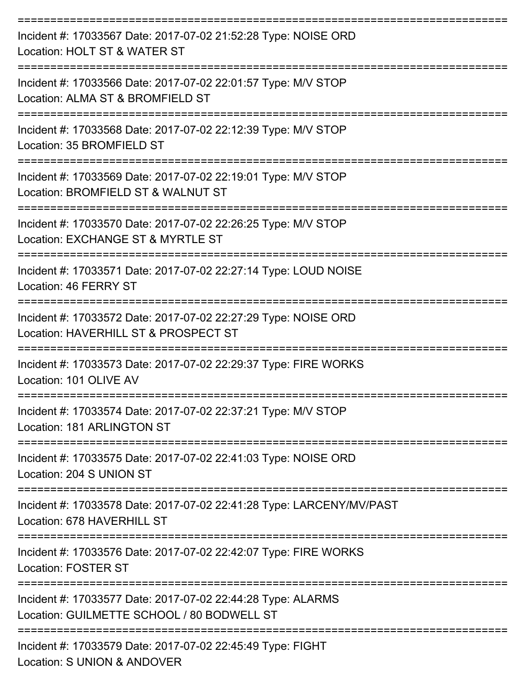| Incident #: 17033567 Date: 2017-07-02 21:52:28 Type: NOISE ORD<br>Location: HOLT ST & WATER ST            |
|-----------------------------------------------------------------------------------------------------------|
| Incident #: 17033566 Date: 2017-07-02 22:01:57 Type: M/V STOP<br>Location: ALMA ST & BROMFIELD ST         |
| Incident #: 17033568 Date: 2017-07-02 22:12:39 Type: M/V STOP<br>Location: 35 BROMFIELD ST                |
| Incident #: 17033569 Date: 2017-07-02 22:19:01 Type: M/V STOP<br>Location: BROMFIELD ST & WALNUT ST       |
| Incident #: 17033570 Date: 2017-07-02 22:26:25 Type: M/V STOP<br>Location: EXCHANGE ST & MYRTLE ST        |
| Incident #: 17033571 Date: 2017-07-02 22:27:14 Type: LOUD NOISE<br>Location: 46 FERRY ST                  |
| Incident #: 17033572 Date: 2017-07-02 22:27:29 Type: NOISE ORD<br>Location: HAVERHILL ST & PROSPECT ST    |
| Incident #: 17033573 Date: 2017-07-02 22:29:37 Type: FIRE WORKS<br>Location: 101 OLIVE AV                 |
| Incident #: 17033574 Date: 2017-07-02 22:37:21 Type: M/V STOP<br>Location: 181 ARLINGTON ST               |
| Incident #: 17033575 Date: 2017-07-02 22:41:03 Type: NOISE ORD<br>Location: 204 S UNION ST                |
| Incident #: 17033578 Date: 2017-07-02 22:41:28 Type: LARCENY/MV/PAST<br>Location: 678 HAVERHILL ST        |
| Incident #: 17033576 Date: 2017-07-02 22:42:07 Type: FIRE WORKS<br><b>Location: FOSTER ST</b>             |
| Incident #: 17033577 Date: 2017-07-02 22:44:28 Type: ALARMS<br>Location: GUILMETTE SCHOOL / 80 BODWELL ST |
| Incident #: 17033579 Date: 2017-07-02 22:45:49 Type: FIGHT<br>Location: S UNION & ANDOVER                 |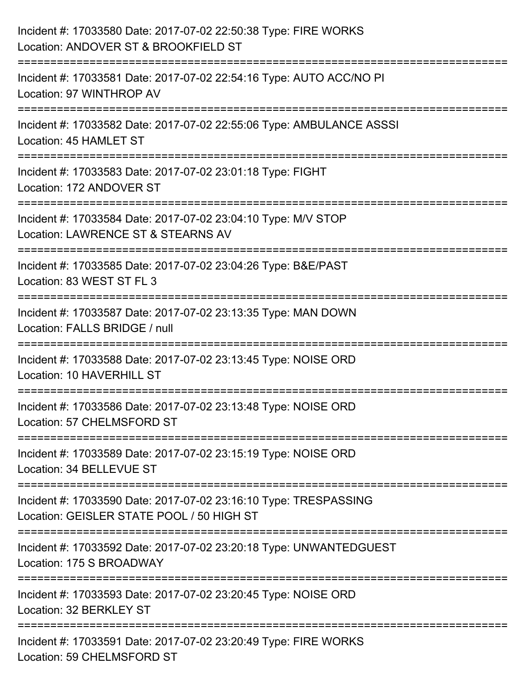| Incident #: 17033580 Date: 2017-07-02 22:50:38 Type: FIRE WORKS<br>Location: ANDOVER ST & BROOKFIELD ST                        |
|--------------------------------------------------------------------------------------------------------------------------------|
| --------------------------<br>Incident #: 17033581 Date: 2017-07-02 22:54:16 Type: AUTO ACC/NO PI<br>Location: 97 WINTHROP AV  |
| Incident #: 17033582 Date: 2017-07-02 22:55:06 Type: AMBULANCE ASSSI<br>Location: 45 HAMLET ST                                 |
| Incident #: 17033583 Date: 2017-07-02 23:01:18 Type: FIGHT<br>Location: 172 ANDOVER ST                                         |
| Incident #: 17033584 Date: 2017-07-02 23:04:10 Type: M/V STOP<br>Location: LAWRENCE ST & STEARNS AV<br>======================= |
| Incident #: 17033585 Date: 2017-07-02 23:04:26 Type: B&E/PAST<br>Location: 83 WEST ST FL 3                                     |
| Incident #: 17033587 Date: 2017-07-02 23:13:35 Type: MAN DOWN<br>Location: FALLS BRIDGE / null                                 |
| Incident #: 17033588 Date: 2017-07-02 23:13:45 Type: NOISE ORD<br>Location: 10 HAVERHILL ST                                    |
| Incident #: 17033586 Date: 2017-07-02 23:13:48 Type: NOISE ORD<br>Location: 57 CHELMSFORD ST                                   |
| Incident #: 17033589 Date: 2017-07-02 23:15:19 Type: NOISE ORD<br>Location: 34 BELLEVUE ST                                     |
| Incident #: 17033590 Date: 2017-07-02 23:16:10 Type: TRESPASSING<br>Location: GEISLER STATE POOL / 50 HIGH ST                  |
| Incident #: 17033592 Date: 2017-07-02 23:20:18 Type: UNWANTEDGUEST<br>Location: 175 S BROADWAY                                 |
| Incident #: 17033593 Date: 2017-07-02 23:20:45 Type: NOISE ORD<br>Location: 32 BERKLEY ST                                      |
| Incident #: 17033591 Date: 2017-07-02 23:20:49 Type: FIRE WORKS<br>Location: 59 CHELMSFORD ST                                  |